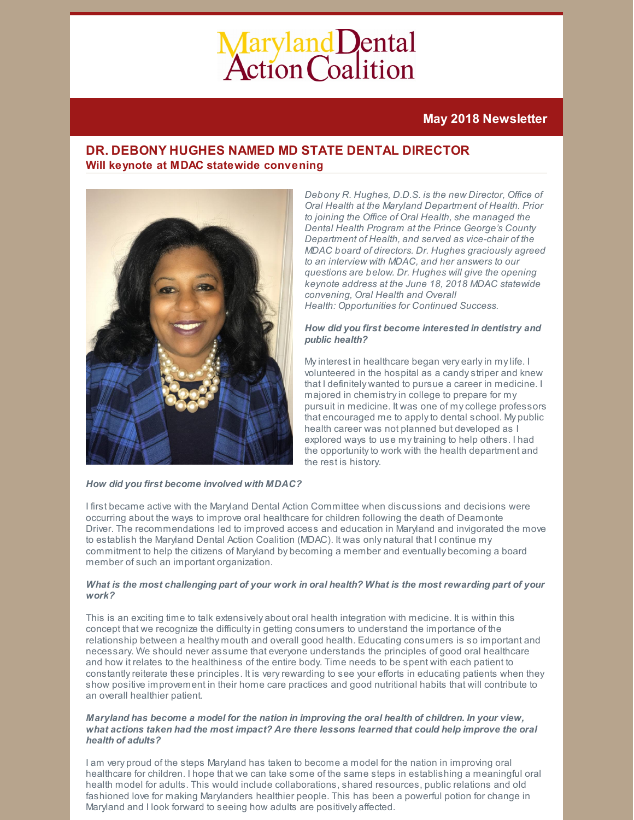# Maryland Dental<br>Action Coalition

# **May 2018 Newsletter**

# **DR. DEBONY HUGHES NAMED MD STATE DENTAL DIRECTOR Will keynote at MDAC statewide convening**



*Debony R. Hughes, D.D.S. is the new Director, Office of Oral Health at the Maryland Department of Health. Prior to joining the Office of Oral Health, she managed the Dental Health Program at the Prince George's County Department of Health, and served as vice-chair of the MDAC board of directors. Dr. Hughes graciously agreed to an interview with MDAC, and her answers to our questions are below. Dr. Hughes will give the opening keynote address at the June 18, 2018 MDAC statewide convening, Oral Health and Overall Health: Opportunities for Continued Success.*

#### *How did you first become interested in dentistry and public health?*

My interest in healthcare began very early in my life. I volunteered in the hospital as a candystriper and knew that I definitely wanted to pursue a career in medicine. I majored in chemistryin college to prepare for my pursuit in medicine. It was one of mycollege professors that encouraged me to applyto dental school. My public health career was not planned but developed as I explored ways to use mytraining to help others. I had the opportunity to work with the health department and the rest is history.

#### *How did you first become involved with MDAC?*

I first became active with the Maryland Dental Action Committee when discussions and decisions were occurring about the ways to improve oral healthcare for children following the death of Deamonte Driver. The recommendations led to improved access and education in Maryland and invigorated the move to establish the Maryland Dental Action Coalition (MDAC). It was only natural that I continue my commitment to help the citizens of Maryland by becoming a member and eventually becoming a board member of such an important organization.

### What is the most challenging part of your work in oral health? What is the most rewarding part of your *work?*

This is an exciting time to talk extensively about oral health integration with medicine. It is within this concept that we recognize the difficultyin getting consumers to understand the importance of the relationship between a healthy mouth and overall good health. Educating consumers is so important and necessary. We should never assume that everyone understands the principles of good oral healthcare and how it relates to the healthiness of the entire body. Time needs to be spent with each patient to constantlyreiterate these principles. It is veryrewarding to see your efforts in educating patients when they show positive improvement in their home care practices and good nutritional habits that will contribute to an overall healthier patient.

#### *Maryland has become a model for the nation in improving the oral health of children. In your view, what actions taken had the most impact? Are there lessons learned that could help improve the oral health of adults?*

I am very proud of the steps Maryland has taken to become a model for the nation in improving oral healthcare for children. I hope that we can take some of the same steps in establishing a meaningful oral health model for adults. This would include collaborations, shared resources, public relations and old fashioned love for making Marylanders healthier people. This has been a powerful potion for change in Maryland and I look forward to seeing how adults are positively affected.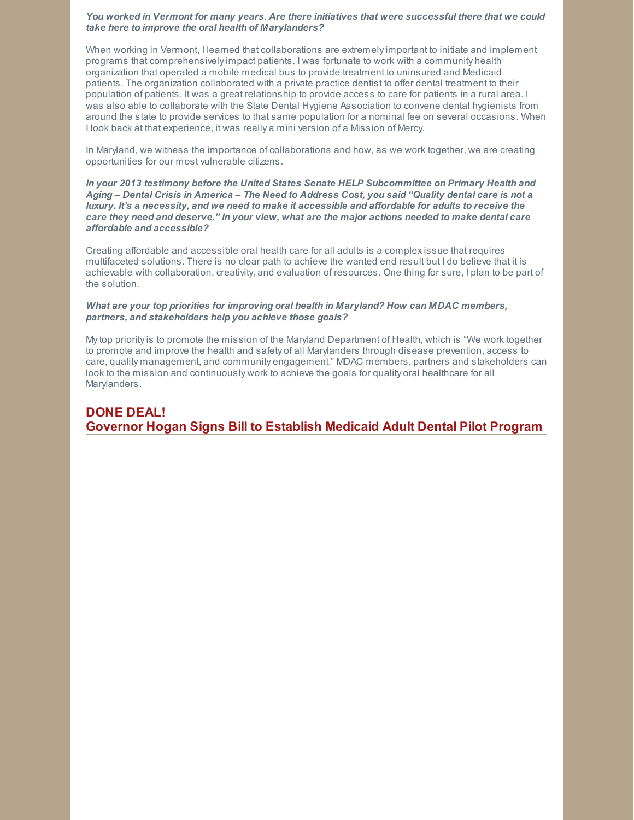#### *You worked in Vermont for many years. Are there initiatives that were successful there that we could take here to improve the oral health of Marylanders?*

When working in Vermont, I learned that collaborations are extremelyimportant to initiate and implement programs that comprehensivelyimpact patients. I was fortunate to work with a community health organization that operated a mobile medical bus to provide treatment to uninsured and Medicaid patients. The organization collaborated with a private practice dentist to offer dental treatment to their population of patients. It was a great relationship to provide access to care for patients in a rural area. I was also able to collaborate with the State Dental Hygiene Association to convene dental hygienists from around the state to provide services to that same population for a nominal fee on several occasions. When I look back at that experience, it was really a mini version of a Mission of Mercy.

In Maryland, we witness the importance of collaborations and how, as we work together, we are creating opportunities for our most vulnerable citizens.

*In your 2013 testimony before the United States Senate HELP Subcommittee on Primary Health and* Aging - Dental Crisis in America - The Need to Address Cost, you said "Quality dental care is not a luxury. It's a necessity, and we need to make it accessible and affordable for adults to receive the *care they need and deserve." In your view, what are the major actions needed to make dental care affordable and accessible?*

Creating affordable and accessible oral health care for all adults is a complexissue that requires multifaceted solutions. There is no clear path to achieve the wanted end result but I do believe that it is achievable with collaboration, creativity, and evaluation of resources. One thing for sure, I plan to be part of the solution.

#### *What are your top priorities for improving oral health in Maryland? How can MDAC members, partners, and stakeholders help you achieve those goals?*

Mytop priorityis to promote the mission of the Maryland Department of Health, which is "We work together to promote and improve the health and safety of all Marylanders through disease prevention, access to care, quality management, and community engagement." MDAC members, partners and stakeholders can look to the mission and continuously work to achieve the goals for quality oral healthcare for all Marylanders.

# **DONE DEAL! Governor Hogan Signs Bill to Establish Medicaid Adult Dental Pilot Program**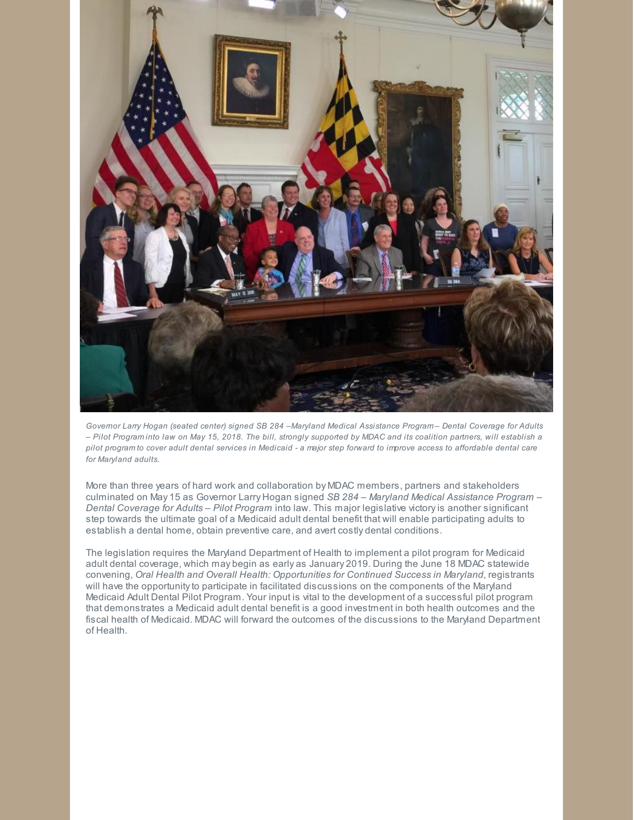

Governor Larry Hogan (seated center) signed SB 284 - Maryland Medical Assistance Program- Dental Coverage for Adults - Pilot Programinto law on May 15, 2018. The bill, strongly supported by MDAC and its coalition partners, will establish a pilot program to cover adult dental services in Medicaid - a major step forward to improve access to affordable dental care *for Maryland adults.*

More than three years of hard work and collaboration by MDAC members, partners and stakeholders culminated on May 15 as Governor Larry Hogan signed *SB 284 – Maryland Medical Assistance Program – Dental Coverage for Adults – Pilot Program* into law. This major legislative victoryis another significant step towards the ultimate goal of a Medicaid adult dental benefit that will enable participating adults to establish a dental home, obtain preventive care, and avert costly dental conditions.

The legislation requires the Maryland Department of Health to implement a pilot program for Medicaid adult dental coverage, which may begin as early as January 2019. During the June 18 MDAC statewide convening, *Oral Health and Overall Health: Opportunities for Continued Success in Maryland*, registrants will have the opportunity to participate in facilitated discussions on the components of the Maryland Medicaid Adult Dental Pilot Program. Your input is vital to the development of a successful pilot program that demonstrates a Medicaid adult dental benefit is a good investment in both health outcomes and the fiscal health of Medicaid. MDAC will forward the outcomes of the discussions to the Maryland Department of Health.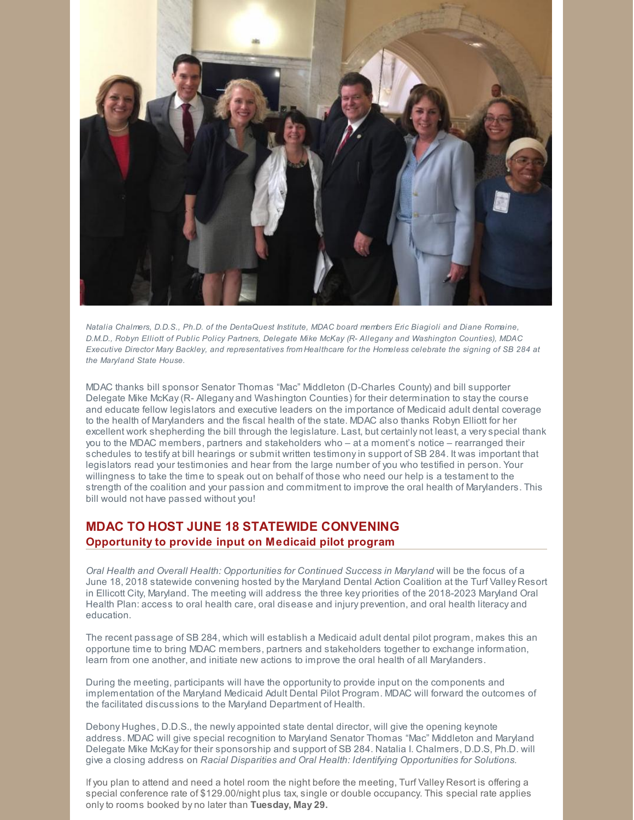

*Natalia Chalmers, D.D.S., Ph.D. of the DentaQuest Institute, MDAC board members Eric Biagioli and Diane Romaine, D.M.D., Robyn Elliott of Public Policy Partners, Delegate Mike McKay (R- Allegany and Washington Counties), MDAC* Executive Director Mary Backley, and representatives from Healthcare for the Homeless celebrate the signing of SB 284 at *the Maryland State House.*

MDAC thanks bill sponsor Senator Thomas "Mac" Middleton (D-Charles County) and bill supporter Delegate Mike McKay(R- Allegany and Washington Counties) for their determination to staythe course and educate fellow legislators and executive leaders on the importance of Medicaid adult dental coverage to the health of Marylanders and the fiscal health of the state. MDAC also thanks Robyn Elliott for her excellent work shepherding the bill through the legislature. Last, but certainly not least, a veryspecial thank you to the MDAC members, partners and stakeholders who – at a moment's notice – rearranged their schedules to testify at bill hearings or submit written testimonyin support of SB 284. It was important that legislators read your testimonies and hear from the large number of you who testified in person. Your willingness to take the time to speak out on behalf of those who need our help is a testament to the strength of the coalition and your passion and commitment to improve the oral health of Marylanders. This bill would not have passed without you!

## **MDAC TO HOST JUNE 18 STATEWIDE CONVENING Opportunity to provide input on Medicaid pilot program**

*Oral Health and Overall Health: Opportunities for Continued Success in Maryland* will be the focus of a June 18, 2018 statewide convening hosted bythe Maryland Dental Action Coalition at the Turf Valley Resort in Ellicott City, Maryland. The meeting will address the three key priorities of the 2018-2023 Maryland Oral Health Plan: access to oral health care, oral disease and injury prevention, and oral health literacy and education.

The recent passage of SB 284, which will establish a Medicaid adult dental pilot program, makes this an opportune time to bring MDAC members, partners and stakeholders together to exchange information, learn from one another, and initiate new actions to improve the oral health of all Marylanders.

During the meeting, participants will have the opportunityto provide input on the components and implementation of the Maryland Medicaid Adult Dental Pilot Program. MDAC will forward the outcomes of the facilitated discussions to the Maryland Department of Health.

Debony Hughes, D.D.S., the newly appointed state dental director, will give the opening keynote address. MDAC will give special recognition to Maryland Senator Thomas "Mac" Middleton and Maryland Delegate Mike McKayfor their sponsorship and support of SB 284. Natalia I. Chalmers, D.D.S, Ph.D. will give a closing address on *Racial Disparities and Oral Health: Identifying Opportunities for Solutions.*

If you plan to attend and need a hotel room the night before the meeting, Turf Valley Resort is offering a special conference rate of \$129.00/night plus tax, single or double occupancy. This special rate applies onlyto rooms booked by no later than **Tuesday, May 29.**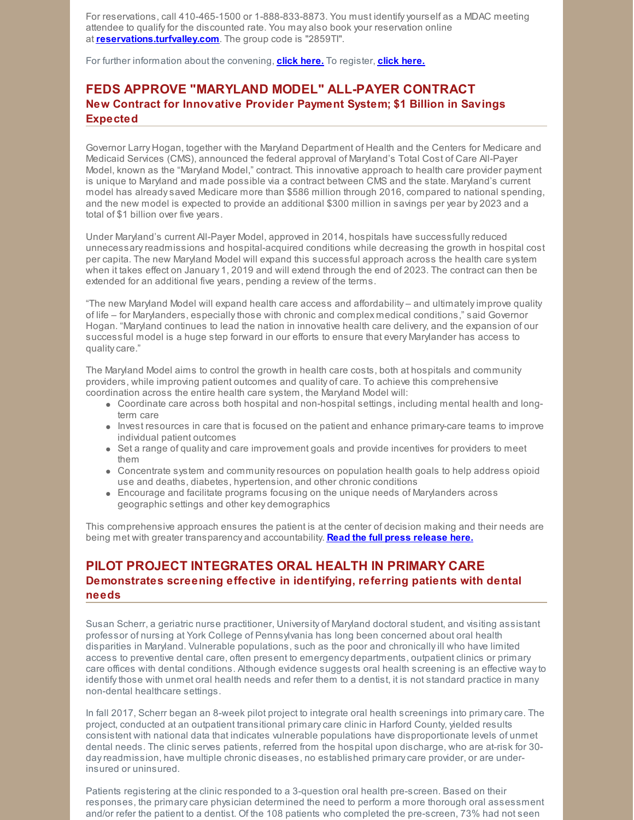For reservations, call 410-465-1500 or 1-888-833-8873. You must identifyyourself as a MDAC meeting attendee to qualifyfor the discounted rate. You may also book your reservation online at **[reservations.turfvalley.com](http://reservations.turfvalley.com/)**. The group code is "2859TI".

For further information about the convening, **click [here.](http://events.r20.constantcontact.com/register/event?oeidk=a07efctvk8sa9432997&llr=pjk4tqkab&showPage=true)** To register, **click [here.](https://events.r20.constantcontact.com/register/eventReg?oeidk=a07efctvk8sa9432997&oseq=&c=&ch=)**

## **FEDS APPROVE "MARYLAND MODEL" ALL-PAYER CONTRACT New Contract for Innovative Provider Payment System; \$1 Billion in Savings Expected**

Governor Larry Hogan, together with the Maryland Department of Health and the Centers for Medicare and Medicaid Services (CMS), announced the federal approval of Maryland's Total Cost of Care All-Payer Model, known as the "Maryland Model," contract. This innovative approach to health care provider payment is unique to Maryland and made possible via a contract between CMS and the state. Maryland's current model has alreadysaved Medicare more than \$586 million through 2016, compared to national spending, and the new model is expected to provide an additional \$300 million in savings per year by 2023 and a total of \$1 billion over five years.

Under Maryland's current All-Payer Model, approved in 2014, hospitals have successfullyreduced unnecessaryreadmissions and hospital-acquired conditions while decreasing the growth in hospital cost per capita. The new Maryland Model will expand this successful approach across the health care system when it takes effect on January 1, 2019 and will extend through the end of 2023. The contract can then be extended for an additional five years, pending a review of the terms.

"The new Maryland Model will expand health care access and affordability – and ultimatelyimprove quality of life – for Marylanders, especiallythose with chronic and complex medical conditions," said Governor Hogan. "Maryland continues to lead the nation in innovative health care delivery, and the expansion of our successful model is a huge step forward in our efforts to ensure that every Marylander has access to qualitycare."

The Maryland Model aims to control the growth in health care costs, both at hospitals and community providers, while improving patient outcomes and quality of care. To achieve this comprehensive coordination across the entire health care system, the Maryland Model will:

- Coordinate care across both hospital and non-hospital settings, including mental health and longterm care
- Invest resources in care that is focused on the patient and enhance primary-care teams to improve individual patient outcomes
- Set a range of quality and care improvement goals and provide incentives for providers to meet them
- Concentrate system and communityresources on population health goals to help address opioid use and deaths, diabetes, hypertension, and other chronic conditions
- Encourage and facilitate programs focusing on the unique needs of Marylanders across geographic settings and other key demographics

This comprehensive approach ensures the patient is at the center of decision making and their needs are being met with greater transparency and accountability. **Read the full press [release](http://governor.maryland.gov/2018/05/14/governor-larry-hogan-announces-federal-approval-of-maryland-model-all-payer-contract/) here.**

## **PILOT PROJECT INTEGRATES ORAL HEALTH IN PRIMARY CARE Demonstrates screening effective in identifying, referring patients with dental needs**

Susan Scherr, a geriatric nurse practitioner, University of Maryland doctoral student, and visiting assistant professor of nursing at York College of Pennsylvania has long been concerned about oral health disparities in Maryland. Vulnerable populations, such as the poor and chronicallyill who have limited access to preventive dental care, often present to emergency departments, outpatient clinics or primary care offices with dental conditions. Although evidence suggests oral health screening is an effective wayto identifythose with unmet oral health needs and refer them to a dentist, it is not standard practice in many non-dental healthcare settings.

In fall 2017, Scherr began an 8-week pilot project to integrate oral health screenings into primarycare. The project, conducted at an outpatient transitional primarycare clinic in Harford County, yielded results consistent with national data that indicates vulnerable populations have disproportionate levels of unmet dental needs. The clinic serves patients, referred from the hospital upon discharge, who are at-risk for 30 dayreadmission, have multiple chronic diseases, no established primarycare provider, or are underinsured or uninsured.

Patients registering at the clinic responded to a 3-question oral health pre-screen. Based on their responses, the primarycare physician determined the need to perform a more thorough oral assessment and/or refer the patient to a dentist. Of the 108 patients who completed the pre-screen, 73% had not seen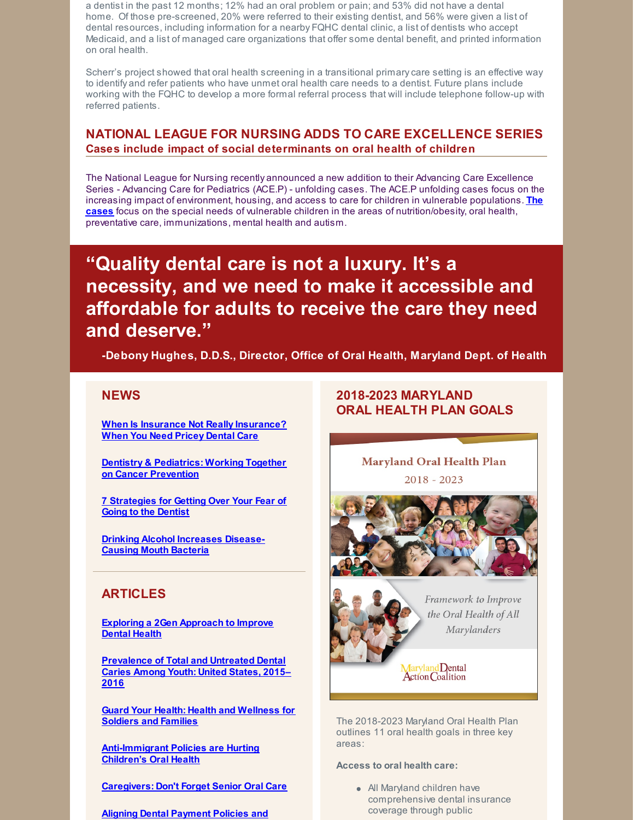a dentist in the past 12 months; 12% had an oral problem or pain; and 53% did not have a dental home. Of those pre-screened, 20% were referred to their existing dentist, and 56% were given a list of dental resources, including information for a nearby FQHC dental clinic, a list of dentists who accept Medicaid, and a list of managed care organizations that offer some dental benefit, and printed information on oral health.

Scherr's project showed that oral health screening in a transitional primarycare setting is an effective way to identify and refer patients who have unmet oral health care needs to a dentist. Future plans include working with the FQHC to develop a more formal referral process that will include telephone follow-up with referred patients.

# **NATIONAL LEAGUE FOR NURSING ADDS TO CARE EXCELLENCE SERIES Cases include impact of social determinants on oral health of children**

The National League for Nursing recently announced a new addition to their Advancing Care Excellence Series - Advancing Care for Pediatrics (ACE.P) - unfolding cases. The ACE.P unfolding cases focus on the increasing impact of environment, housing, and access to care for children in vulnerable populations. **The cases** focus on the special needs of vulnerable children in the areas of [nutrition/obesity,](http://www.nln.org/professional-development-programs/teaching-resources/ace-p/unfolding-cases) oral health, preventative care, immunizations, mental health and autism.

**"Quality dental care is not a luxury. It's a necessity, and we need to make it accessible and affordable for adults to receive the care they need and deserve."**

**-Debony Hughes, D.D.S., Director, Office of Oral Health, Maryland Dept. of Health**

## **NEWS**

**When Is Insurance Not Really [Insurance?](https://khn.org/news/when-is-insurance-not-really-insurance-when-you-need-pricey-dental-care/) When You Need Pricey Dental Care**

**Dentistry & [Pediatrics:](https://ilikemyteeth.org/working-together-on-cancer-prevention/) Working Together on Cancer Prevention**

**7 [Strategies](https://health.usnews.com/health-care/patient-advice/slideshows/7-strategies-for-getting-over-your-fear-of-going-to-the-dentist?onepage&utm_medium=TWITTER&utm_source=social&utm_term=Engagement) for Getting Over Your Fear of Going to the Dentist**

**Drinking Alcohol [Increases](https://www.everydayhealth.com/dental-health/drinking-alcohol-increases-disease-causing-mouth-bacteria/) Disease-Causing Mouth Bacteria**

## **ARTICLES**

**Exploring a 2Gen [Approach](https://ilikemyteeth.org/exploring-a-2gen-approach-to-improve-dental-health/) to Improve Dental Health**

**[Prevalence](https://www.cdc.gov/nchs/products/databriefs/db307.htm) of Total and Untreated Dental Caries Among Youth: United States, 2015– 2016**

**Guard Your Health: Health and [Wellness](https://ilikemyteeth.org/guard-your-health-health-and-wellness-for-soldiers-and-families/) for Soldiers and Families**

**[Anti-Immigrant](https://www.cdhp.org/blog/506-anti-immigrant-policies-are-hurting-children-s-oral-health) Policies are Hurting Children's Oral Health**

**[Caregivers:](http://www.sandiegouniontribune.com/caregiver/staying-healthy/their-health-safety/sd-me-caregiver-oral-health-20180509-story.html) Don't Forget Senior Oral Care**

**Aligning Dental Payment Policies and**

## **2018-2023 MARYLAND ORAL HEALTH PLAN GOALS**

**Maryland Oral Health Plan**  $2018 - 2023$ 





Framework to Improve the Oral Health of All **Marylanders** 

Maryland Dental<br>Action Coalition

The 2018-2023 Maryland Oral Health Plan outlines 11 oral health goals in three key areas:

#### **Access to oral health care:**

All Maryland children have comprehensive dental insurance coverage through public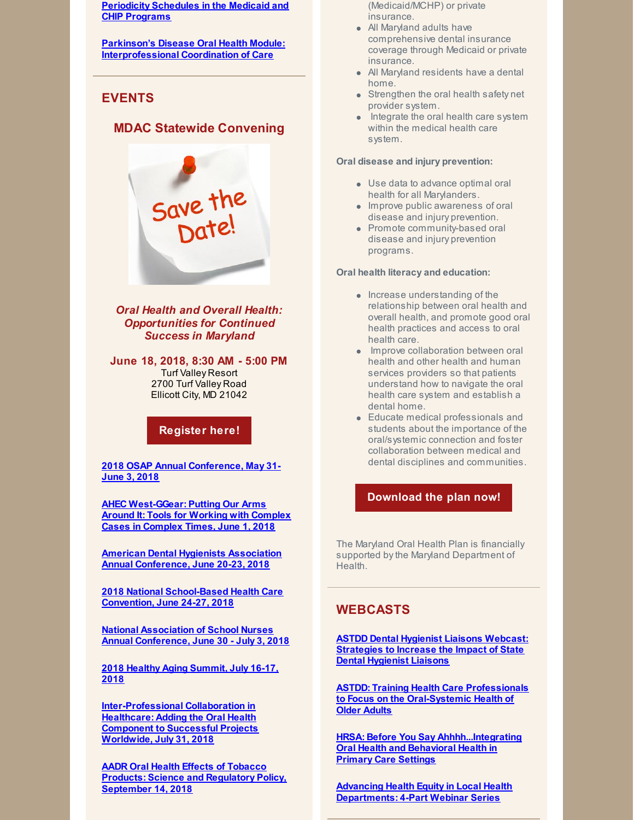**[Periodicity](https://www.medicaid.gov/federal-policy-guidance/downloads/cib050418.pdf) Schedules in the Medicaid and CHIP Programs**

**Parkinson's Disease Oral Health Module: [Interprofessional](https://www.mededportal.org/publication/10699/) Coordination of Care**

# **EVENTS**

## **MDAC Statewide Convening**



*Oral Health and Overall Health: Opportunities for Continued Success in Maryland*

**June 18, 2018, 8:30 AM - 5:00 PM** Turf Valley Resort 2700 Turf Valley Road Ellicott City, MD 21042

## **[Register](https://events.r20.constantcontact.com/register/eventReg?oeidk=a07efctvk8sa9432997&oseq=&c=&ch) here!**

**2018 OSAP Annual [Conference,](http://www.osap.org/page/2018AnnConfProgram) May 31- June 3, 2018**

**AHEC [West-GGear:](http://www.123formbuilder.com/form-3057248/GGEAR-Registration-And-Participant-Information-Form) Putting Our Arms Around It: Tools for Working with Complex Cases in Complex Times, June 1, 2018**

**American Dental Hygienists Association Annual [Conference,](http://www.adha.org/annual-conference/main) June 20-23, 2018**

**2018 National [School-Based](http://www.sbh4all.org/training/convention/) Health Care Convention, June 24-27, 2018**

**National Association of School Nurses Annual [Conference,](https://www.nasn.org/nasn/programs/conferences/annual-conference) June 30 - July 3, 2018**

**2018 Healthy Aging [Summit,](https://www.eventscribe.com/2018/ACPM-HAC/index.asp?launcher=1) July 16-17, 2018**

**[Inter-Professional](http://www.mmsend2.com/link.cfm?r=DppuN76f-Sc2PXQqXHLyNA~~&pe=ljwLFInQZq962ckKR26RKmsOXZKVqBeVx4OjmvkECC-wYzE6TGziMZ5ZUbmPk79dJlwmE1QiPrW31yrvGeGVDQ~~&t=kX6wVv9i4zvt05IqjWZC3A~~) Collaboration in Healthcare: Adding the Oral Health Component to Successful Projects Worldwide, July 31, 2018**

**AADR Oral Health Effects of Tobacco Products: Science and [Regulatory](http://www.iadr.org/AADREffectsofTobacco) Policy, September 14, 2018**

- (Medicaid/MCHP) or private insurance.
- All Maryland adults have comprehensive dental insurance coverage through Medicaid or private insurance.
- All Maryland residents have a dental home.
- Strengthen the oral health safety net provider system.
- Integrate the oral health care system within the medical health care system.

#### **Oral disease and injury prevention:**

- Use data to advance optimal oral health for all Marylanders.
- Improve public awareness of oral disease and injury prevention.
- Promote community-based oral disease and injury prevention programs.

### **Oral health literacy and education:**

- $\bullet$  Increase understanding of the relationship between oral health and overall health, and promote good oral health practices and access to oral health care.
- Improve collaboration between oral health and other health and human services providers so that patients understand how to navigate the oral health care system and establish a dental home.
- Educate medical professionals and students about the importance of the oral/systemic connection and foster collaboration between medical and dental disciplines and communities.

## **[Download](http://www.mdac.us/2018_01_14/MD_OHP_2018_0102.pdf) the plan now!**

The Maryland Oral Health Plan is financially supported bythe Maryland Department of Health.

## **WEBCASTS**

**ASTDD Dental Hygienist Liaisons Webcast: [Strategies](https://astdd.adobeconnect.com/_a933923135/pdy1noehiw4h/?proto=true) to Increase the Impact of State Dental Hygienist Liaisons**

**ASTDD: Training Health Care Professionals to Focus on the [Oral-Systemic](https://astdd.adobeconnect.com/_a933923135/pqaw2gobxnl9/?proto=true) Health of Older Adults**

**HRSA: Before You Say [Ahhhh...Integrating](https://www.youtube.com/watch?v=HGeEyyRGYpM&feature=youtu.be) Oral Health and Behavioral Health in Primary Care Settings**

**Advancing Health Equity in Local Health [Departments:](https://humanimpact.org/hipprojects/hegwebinars2017/?utm_source=April+Newsletter+Draft&utm_campaign=April+2018+Newsletter&utm_medium=email) 4-Part Webinar Series**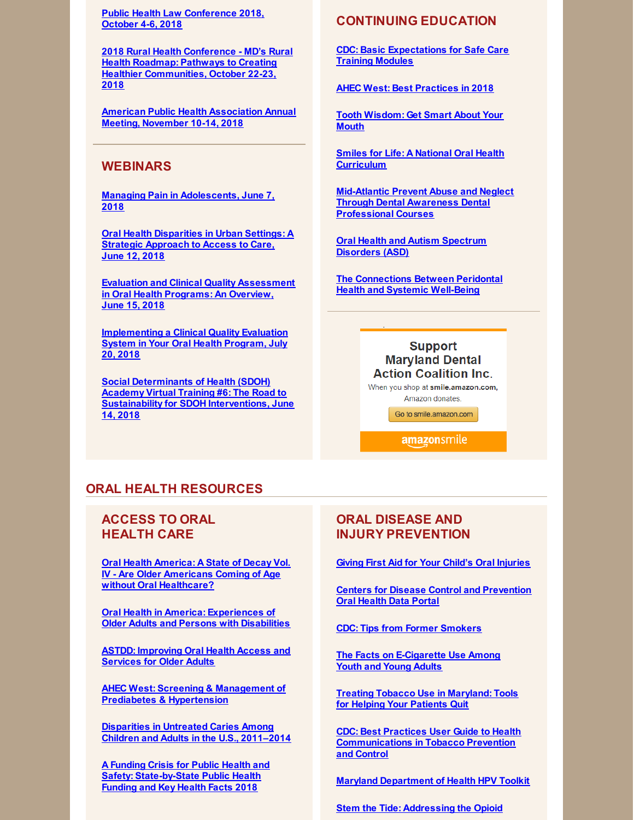**Public Health Law [Conference](https://www.networkforphl.org/2018_conference/phlc18/?blm_aid=21725) 2018, October 4-6, 2018**

**2018 Rural Health Conference - MD's Rural Health Roadmap: Pathways to Creating Healthier [Communities,](https://events.r20.constantcontact.com/register/eventReg?oeidk=a07efc1lwdma3550399&oseq=&c=&ch=) October 22-23, 2018**

**American Public Health [Association](https://www.apha.org/events-and-meetings/apha-calendar/2018/apha-annual-meeting-and-expo) Annual Meeting, November 10-14, 2018**

## **WEBINARS**

**Managing Pain in [Adolescents,](http://mailview.bulletinhealthcare.com/mailview.aspx?m=2018051501ada&r=seed_7440939-8710&l=023-97f&t=c) June 7, 2018**

**Oral Health [Disparities](https://register.gotowebinar.com/register/4382281002999059714) in Urban Settings: A Strategic Approach to Access to Care, June 12, 2018**

**Evaluation and Clinical Quality [Assessment](https://register.gotowebinar.com/register/410164405417044994) in Oral Health Programs: An Overview, June 15, 2018**

**[Implementing](https://register.gotowebinar.com/register/8188949687188101378) a Clinical Quality Evaluation System in Your Oral Health Program, July 20, 2018**

**Social Determinants of Health (SDOH) Academy Virtual Training #6: The Road to Sustainability for SDOH [Interventions,](https://register.gotowebinar.com/register/8870995439941403651) June 14, 2018**

## **CONTINUING EDUCATION**

**CDC: Basic [Expectations](https://www.cdc.gov/oralhealth/infectioncontrol/safe-care-modules.htm) for Safe Care Training Modules**

**AHEC West: Best [Practices](http://files.constantcontact.com/81f84275201/39682b0d-aa38-4127-b464-200cb7b84a4e.pdf) in 2018**

**Tooth [Wisdom:](https://www.toothwisdomgetsmart.com/) Get Smart About Your Mouth**

**Smiles for Life: A National Oral Health [Curriculum](http://smilesforlifeoralhealth.org/buildcontent.aspx?tut=555&pagekey=62948&cbreceipt=0)**

**Mid-Atlantic Prevent Abuse and Neglect Through Dental Awareness Dental [Professional](https://www.theonlinelearningcenter.com/Catalog/Product.aspx?mid=5470) Courses**

**Oral Health and Autism [Spectrum](https://www.colgateoralhealthnetwork.com/webinar/oral-health-and-autism-spectrum-disorders-asd/) Disorders (ASD)**

**The [Connections](https://www.colgateoralhealthnetwork.com/webinar/the-connections-between-periodontal-health-and-systemic-well-being/) Between Peridontal Health and Systemic Well-Being**

## **Support Maryland Dental Action Coalition Inc.**

When you shop at smile.amazon.com. Amazon donates

Go to smile.amazon.com

**amazonsmile** 

## **ORAL HEALTH RESOURCES**

## **ACCESS TO ORAL HEALTH CARE**

**Oral Health America: A State of Decay Vol. IV - Are Older [Americans](https://oralhealthamerica.org/astateofdecay/) Coming of Age without Oral Healthcare?**

**Oral Health in America: [Experiences](http://www.nasuad.org/sites/nasuad/files/NASUAD Oral Health in America.pdf) of Older Adults and Persons with Disabilities**

**ASTDD: [Improving](http://www.astdd.org/docs/improving-oral-health-access-and-services-for-older-adults.pdf) Oral Health Access and Services for Older Adults**

**AHEC West: Screening & Management of Prediabetes & [Hypertension](https://eliademy.com/catalog/catalog/product/view/sku/229adbfbf1)**

**[Disparities](https://link.springer.com/epdf/10.1186/s12903-018-0493-7?author_access_token=FL9eGPSkRp5-4scxDYp-OW_BpE1tBhCbnbw3BuzI2ROJr1IKgLr2bueRVSv2xRfqeBpf9o5t5-Ak0Bl969nzLvMfdoD35ATU3_lC2ZJgABIg8qCDQafMRbDwf-MeLMcXgQRt6is8li_9pv7VvwXk6w==) in Untreated Caries Among Children and Adults in the U.S., 2011–2014**

**A Funding Crisis for Public Health and Safety: [State-by-State](http://healthyamericans.org/assets/files/TFAH-2018-InvestInAmericaRpt-FINAL.pdf) Public Health Funding and Key Health Facts 2018**

## **ORAL DISEASE AND INJURY PREVENTION**

**Giving First Aid for Your Child's Oral [Injuries](https://eclkc.ohs.acf.hhs.gov/sites/default/files/pdf/oral-first-aid.pdf?utm_medium=email&utm_campaign=ECHW BUOH May Disaster Preparedness and Oral Health -Eblast&utm_content=ECHW BUOH May Disaster Preparedness and Oral Health -Eblast+Preview+CID_b49a7a05450ad20842090a9dea77f998&utm_source=CM Eblast&utm_term=Instructions on how to assess and provide first aid to oral injuries&utm_medium=email&utm_campaign=ECHW BUOH May Disaster Preparedness and Oral Health -Eblast&utm_content=ECHW BUOH May Disaster Preparedness and Oral Health -Eblast+CID_b49a7a05450ad20842090a9dea77f998&utm_source=CM Eblast&utm_term=Instructions on how to assess and provide first aid to oral injuries)**

**Centers for Disease Control and [Prevention](https://www.cdc.gov/oralhealthdata/index.html) Oral Health Data Portal**

**CDC: Tips from Former [Smokers](https://www.cdc.gov/tobacco/campaign/tips/about/index.html)**

**The Facts on [E-Cigarette](https://e-cigarettes.surgeongeneral.gov/) Use Among Youth and [Young](https://e-cigarettes.surgeongeneral.gov/) Adults**

**Treating Tobacco Use in [Maryland:](http://www.helppatientsquitmd.org/) Tools for Helping Your Patients Quit**

**CDC: Best Practices User Guide to Health [Communications](https://www.cdc.gov/tobacco/stateandcommunity/bp-health-communications/pdfs/health-communications-508.pdf) in Tobacco Prevention and Control**

**Maryland [Department](https://phpa.health.maryland.gov/cancer/Pages/HPV.aspx) of Health HPV Toolkit**

**Stem the Tide: [Addressing](https://www.aha.org/system/files/2018-02/stem-tide-addressing-opioid-epidemic-toolkit.pdf) the Opioid**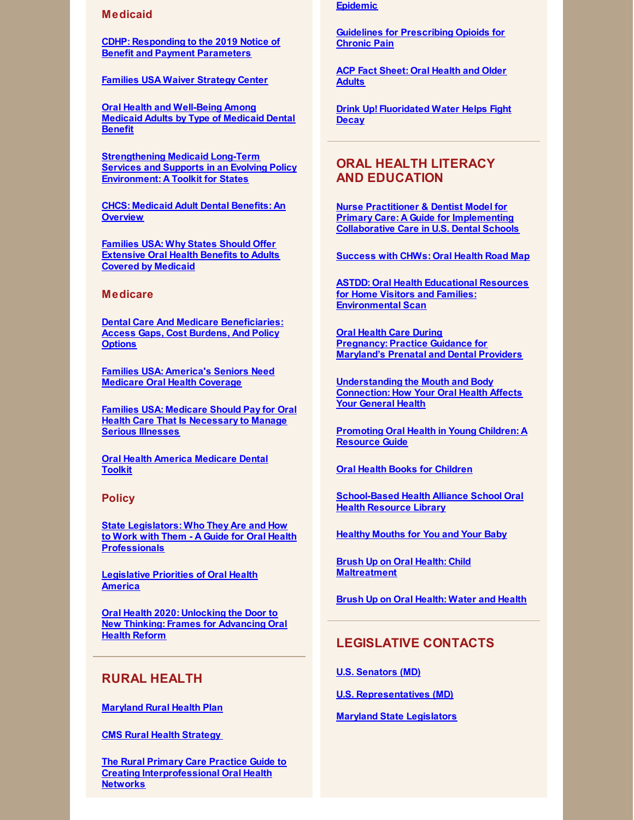#### **Medicaid**

**CDHP: [Responding](https://s3.amazonaws.com/cdhp/Dental+Coverage/CDHP+Resource+for+Advocates_Responding+to+the+2019+Notice+of+Benefit+and+Payment+Parameters_final052118.pdf) to the 2019 Notice of Benefit and Payment Parameters**

**Families USA Waiver [Strategy](http://familiesusa.org/state-waiver-resource-and-tracking-center) Center**

**Oral Health and [Well-Being](https://www.ada.org/~/media/ADA/Science and Research/HPI/Files/HPIgraphic_0518_1.pdf?la=en) Among Medicaid Adults by Type of Medicaid Dental Benefit**

**[Strengthening](https://www.chcs.org/media/Strengthening-LTSS-Toolkit_120717.pdf) Medicaid Long-Term Services and Supports in an Evolving Policy Environment: A Toolkit for States**

**CHCS: [Medicaid](https://www.chcs.org/media/Adult-Oral-Health-Fact-Sheet_011618.pdf) Adult Dental Benefits: An Overview**

**Families USA: Why States Should Offer [Extensive](http://familiesusa.org/product/why-states-should-offer-extensive-oral-health-benefits-adults-covered-medicaid) Oral Health Benefits to Adults Covered by Medicaid**

#### **Medicare**

**Dental Care And Medicare [Beneficiaries:](https://www.healthaffairs.org/doi/abs/10.1377/hlthaff.2016.0829) Access Gaps, Cost Burdens, And Policy Options**

**Families USA: [America's](http://familiesusa.org/sites/default/files/OH_Medicare-Oral-Health-Coverage_Factsheet.pdf) Seniors Need Medicare Oral Health Coverage**

**Families USA: Medicare Should Pay for Oral Health Care That Is [Necessary](http://familiesusa.org/blog/2017/08/medicare-should-pay-oral-health-care-necessary-manage-serious-illnesses) to Manage Serious Illnesses**

**Oral Health America [Medicare](https://oralhealthamerica.org/participate/take-action/medicaretoolkit/) Dental Toolkit**

#### **Policy**

**State Legislators: Who They Are and How to Work with Them - A Guide for Oral Health [Professionals](http://www.ncsl.org/Portals/1/Documents/Health/OralHealthProfessionals_32224_032218.pdf)**

**[Legislative](https://oralhealthamerica.org/wp-content/uploads/2018-OHA-Legislative-Priorities.pdf) Priorities of Oral Health America**

**Oral Health 2020: Unlocking the Door to New Thinking: Frames for [Advancing](https://frameworksinstitute.org/assets/files/PDF_oralhealth/oral_health_messagememo_may_2017.pdf) Oral Health Reform**

## **RURAL HEALTH**

**[Maryland](http://mdruralhealth.org/docs/MDRH-Plan-2018-WEB.pdf) Rural Health Plan**

**CMS Rural Health [Strategy](https://www.cms.gov/About-CMS/Agency-Information/OMH/Downloads/Rural-Strategy-2018.pdf)**

**The Rural Primary Care Practice Guide to Creating [Interprofessional](https://www.dentaquestinstitute.org/sites/default/files/MoreCareRural-Guide_11-14-17.pdf) Oral Health Networks**

#### **Epidemic**

**Guidelines for [Prescribing](https://www.cdc.gov/drugoverdose/pdf/guidelines_factsheet-a.pdf) Opioids for Chronic Pain**

**ACP Fact [Sheet:](https://www.acponline.org/system/files/documents/practice-resources/patient-resources/oral-health-and-older-adults.pdf) Oral Health and Older Adults**

**Drink Up! [Fluoridated](http://jada.ada.org/article/S0002-8177(15)00664-9/pdf) Water Helps Fight Decay**

## **ORAL HEALTH LITERACY AND EDUCATION**

**Nurse Practitioner & Dentist Model for Primary Care: A Guide for [Implementing](https://hsdm.harvard.edu/nurse-practitioner-dentist-npd-model-primary-care) Collaborative Care in U.S. Dental Schools**

**[Success](http://mnchwalliance.org/wp-content/uploads/2012/12/Oral_Health_Road_Map_FINAL.pdf) with CHWs: Oral Health Road Map**

**ASTDD: Oral Health Educational Resources for Home Visitors and Families: [Environmental](http://www.astdd.org/docs/home-visiting-environmental-scan-2018.pdf) Scan**

**Oral Health Care During [Pregnancy:](https://phpa.health.maryland.gov/oralhealth/Pages/Oral_Health_and_Pregnancy.aspx) Practice Guidance for Maryland's Prenatal and Dental Providers**

**[Understanding](http://www.worldoralhealthday.org/sites/default/files/assets/2018_WOHD-brochure-EN.pdf) the Mouth and Body Connection: How Your Oral Health Affects Your General Health**

**[Promoting](https://www.mchoralhealth.org/PDFs/resguideyoungchildren.pdf) Oral Health in Young Children: A Resource Guide**

**Oral Health Books for [Children](http://guides.hshsl.umaryland.edu/dentistry/DentalBooksForChildren)**

**[School-Based](https://www.sbh4all.org/library/sboh/index.php) Health Alliance School Oral Health Resource Library**

**[Healthy](https://www.youtube.com/watch?v=6Au7b4WczUs&feature=youtu.be) Mouths for You and Your Baby**

**Brush Up on Oral Health: Child [Maltreatment](https://eclkc.ohs.acf.hhs.gov/sites/default/files/pdf/buoh-2018-03.pdf)**

**Brush Up on Oral [Health:](https://eclkc.ohs.acf.hhs.gov/sites/default/files/pdf/buoh-2018-02-eng.pdf) Water and Health**

## **LEGISLATIVE CONTACTS**

**U.S. [Senators](https://www.senate.gov/general/contact_information/senators_cfm.cfm?State=MD) (MD)**

**U.S. [Representatives](https://www.house.gov/representatives#state-maryland) (MD)**

#### **Maryland State [Legislators](http://mgaleg.maryland.gov/webmga/frmmain.aspx?pid=legisrpage)**